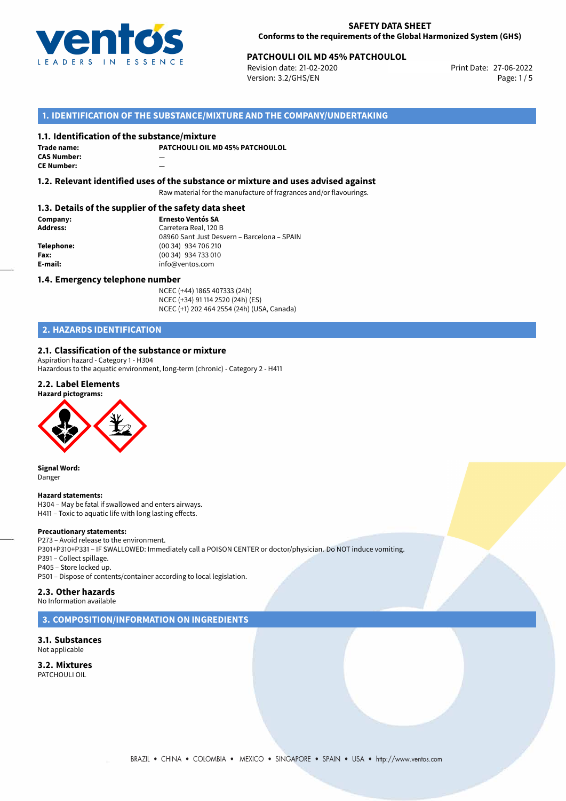

# **PATCHOULI OIL MD 45% PATCHOULOL**<br> **27-06-2022** Print Date: 27-06-2022 Print Date: 27-06-2022

Revision date: 21-02-2020 Version: 3.2/GHS/EN Page: 1/5

#### **1. IDENTIFICATION OF THE SUBSTANCE/MIXTURE AND THE COMPANY/UNDERTAKING**

#### **1.1. Identification of the substance/mixture**

| Trade name:        | P) |
|--------------------|----|
| <b>CAS Number:</b> |    |
| <b>CE Number:</b>  |    |

**PATCHOULI OIL MD 45% PATCHOULOL**

**1.2. Relevant identified uses of the substance or mixture and uses advised against**

Raw material for the manufacture of fragrances and/or flavourings.

#### **1.3. Details of the supplier of the safety data sheet**

**Company: Ernesto Ventós SA Address:** Carretera Real, 120 B 08960 Sant Just Desvern – Barcelona – SPAIN **Telephone:** (00 34) 934 706 210 **Fax:** (00 34) 934 733 010<br> **E-mail: E-mail:** info@ventos.com **E-mail:** info@ventos.com

#### **1.4. Emergency telephone number**

NCEC (+44) 1865 407333 (24h) NCEC (+34) 91 114 2520 (24h) (ES) NCEC (+1) 202 464 2554 (24h) (USA, Canada)

# **2. HAZARDS IDENTIFICATION**

#### **2.1. Classification of the substance or mixture**

Aspiration hazard - Category 1 - H304

Hazardous to the aquatic environment, long-term (chronic) - Category 2 - H411

# **2.2. Label Elements**





**Signal Word:** Danger

#### **Hazard statements:**

H304 – May be fatal if swallowed and enters airways. H411 – Toxic to aquatic life with long lasting effects.

#### **Precautionary statements:**

P273 – Avoid release to the environment. P301+P310+P331 – IF SWALLOWED: Immediately call a POISON CENTER or doctor/physician. Do NOT induce vomiting. P391 – Collect spillage. P405 – Store locked up. P501 – Dispose of contents/container according to local legislation.

#### **2.3. Other hazards**

No Information available

#### **3. COMPOSITION/INFORMATION ON INGREDIENTS**

#### **3.1. Substances** Not applicable

| 3.2. Mixtures |
|---------------|
| PATCHOULI OIL |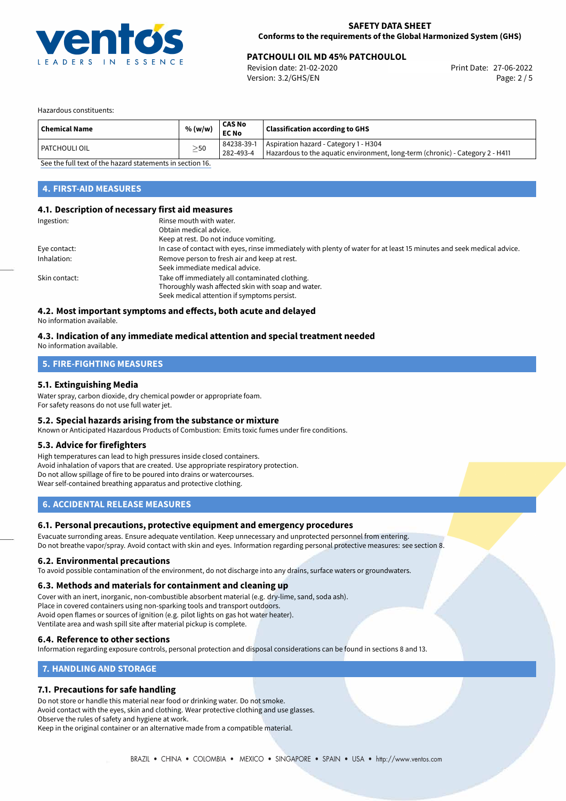

# **PATCHOULI OIL MD 45% PATCHOULOL**<br> **27-06-2022** Print Date: 27-06-2022 Print Date: 27-06-2022

Revision date: 21-02-2020 Version: 3.2/GHS/EN Page: 2 / 5

Hazardous constituents:

| Aspiration hazard - Category 1 - H304<br>84238-39-1<br>  PATCHOULI OIL                                  |  |
|---------------------------------------------------------------------------------------------------------|--|
| $\geq$ 50<br>Hazardous to the aquatic environment, long-term (chronic) - Category 2 - H411<br>282-493-4 |  |

[See the full text of the hazard statements in section 16.](#page-4-0)

# **4. FIRST-AID MEASURES**

#### **4.1. Description of necessary first aid measures**

| Ingestion:    | Rinse mouth with water.<br>Obtain medical advice.<br>Keep at rest. Do not induce vomiting.                                                           |
|---------------|------------------------------------------------------------------------------------------------------------------------------------------------------|
| Eye contact:  | In case of contact with eyes, rinse immediately with plenty of water for at least 15 minutes and seek medical advice.                                |
| Inhalation:   | Remove person to fresh air and keep at rest.<br>Seek immediate medical advice.                                                                       |
| Skin contact: | Take off immediately all contaminated clothing.<br>Thoroughly wash affected skin with soap and water.<br>Seek medical attention if symptoms persist. |

#### **4.2. Most important symptoms and effects, both acute and delayed**

No information available.

#### **4.3. Indication of any immediate medical attention and special treatment needed** No information available.

# **5. FIRE-FIGHTING MEASURES**

# **5.1. Extinguishing Media**

Water spray, carbon dioxide, dry chemical powder or appropriate foam. For safety reasons do not use full water jet.

#### **5.2. Special hazards arising from the substance or mixture**

Known or Anticipated Hazardous Products of Combustion: Emits toxic fumes under fire conditions.

#### **5.3. Advice for firefighters**

High temperatures can lead to high pressures inside closed containers. Avoid inhalation of vapors that are created. Use appropriate respiratory protection. Do not allow spillage of fire to be poured into drains or watercourses. Wear self-contained breathing apparatus and protective clothing.

### **6. ACCIDENTAL RELEASE MEASURES**

#### **6.1. Personal precautions, protective equipment and emergency procedures**

Evacuate surronding areas. Ensure adequate ventilation. Keep unnecessary and unprotected personnel from entering. Do not breathe vapor/spray. Avoid contact with skin and eyes. Information regarding personal protective measures: see section 8.

#### **6.2. Environmental precautions**

To avoid possible contamination of the environment, do not discharge into any drains, surface waters or groundwaters.

#### **6.3. Methods and materials for containment and cleaning up**

Cover with an inert, inorganic, non-combustible absorbent material (e.g. dry-lime, sand, soda ash).

- Place in covered containers using non-sparking tools and transport outdoors.
- Avoid open flames or sources of ignition (e.g. pilot lights on gas hot water heater). Ventilate area and wash spill site after material pickup is complete.

#### **6.4. Reference to other sections**

Information regarding exposure controls, personal protection and disposal considerations can be found in sections 8 and 13.

### **7. HANDLING AND STORAGE**

#### **7.1. Precautions for safe handling**

Do not store or handle this material near food or drinking water. Do not smoke. Avoid contact with the eyes, skin and clothing. Wear protective clothing and use glasses. Observe the rules of safety and hygiene at work.

Keep in the original container or an alternative made from a compatible material.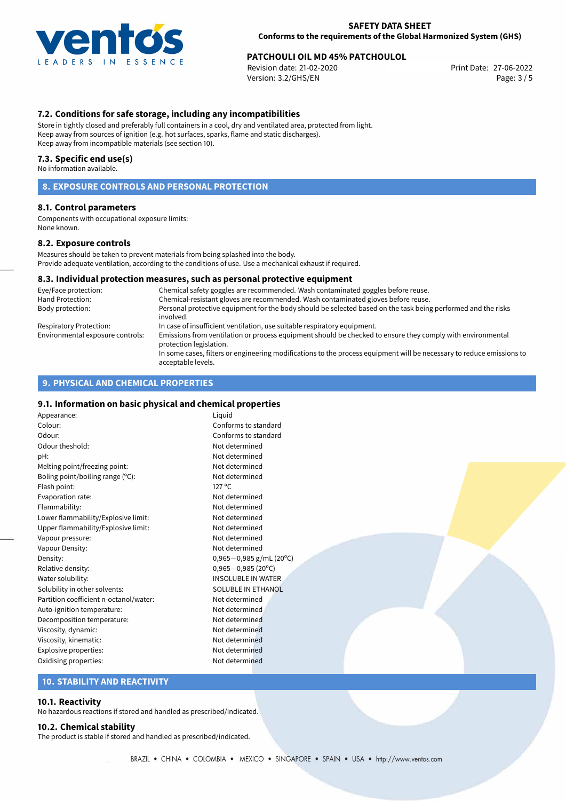

# **PATCHOULI OIL MD 45% PATCHOULOL**<br> **27-06-2022** Print Date: 27-06-2022 Print Date: 27-06-2022

Revision date: 21-02-2020 Version: 3.2/GHS/EN Page: 3 / 5

#### **7.2. Conditions for safe storage, including any incompatibilities**

Store in tightly closed and preferably full containers in a cool, dry and ventilated area, protected from light. Keep away from sources of ignition (e.g. hot surfaces, sparks, flame and static discharges). Keep away from incompatible materials (see section 10).

#### **7.3. Specific end use(s)**

No information available.

### **8. EXPOSURE CONTROLS AND PERSONAL PROTECTION**

#### **8.1. Control parameters**

Components with occupational exposure limits: None known.

#### **8.2. Exposure controls**

Measures should be taken to prevent materials from being splashed into the body. Provide adequate ventilation, according to the conditions of use. Use a mechanical exhaust if required.

#### **8.3. Individual protection measures, such as personal protective equipment**

| Eye/Face protection:             | Chemical safety goggles are recommended. Wash contaminated goggles before reuse.                                                            |
|----------------------------------|---------------------------------------------------------------------------------------------------------------------------------------------|
| Hand Protection:                 | Chemical-resistant gloves are recommended. Wash contaminated gloves before reuse.                                                           |
| Body protection:                 | Personal protective equipment for the body should be selected based on the task being performed and the risks<br>involved.                  |
| Respiratory Protection:          | In case of insufficient ventilation, use suitable respiratory equipment.                                                                    |
| Environmental exposure controls: | Emissions from ventilation or process equipment should be checked to ensure they comply with environmental<br>protection legislation.       |
|                                  | In some cases, filters or engineering modifications to the process equipment will be necessary to reduce emissions to<br>acceptable levels. |

#### **9. PHYSICAL AND CHEMICAL PROPERTIES**

#### **9.1. Information on basic physical and chemical properties**

Appearance: Liquid Colour: Conforms to standard Odour: Conforms to standard Odour theshold: Not determined pH: Not determined Melting point/freezing point: Not determined Boling point/boiling range (°C): Not determined Flash point: 127 °C Evaporation rate: Not determined Flammability: Not determined Lower flammability/Explosive limit: Not determined Upper flammability/Explosive limit: Not determined Vapour pressure: Vapour pressure: Vapour Density: Not determined Density: 0,965−0,985 g/mL (20°C)<br>Relative density: 0.965−0,985 (20°C) Relative density: 0,965−0,985 (20<sup>o</sup>C)<br>Water solubility: 0,965−0,985 (20<sup>o</sup>C) Solubility in other solvents: SOLUBLE IN ETHANOL Partition coefficient n-octanol/water: Not determined Auto-ignition temperature: Not determined Decomposition temperature: Not determined Viscosity, dynamic: Not determined Viscosity, kinematic: Not determined Explosive properties: Not determined Oxidising properties: Not determined

**INSOLUBLE IN WATER** 

#### **10. STABILITY AND REACTIVITY**

#### **10.1. Reactivity**

No hazardous reactions if stored and handled as prescribed/indicated.

### **10.2. Chemical stability**

The product is stable if stored and handled as prescribed/indicated.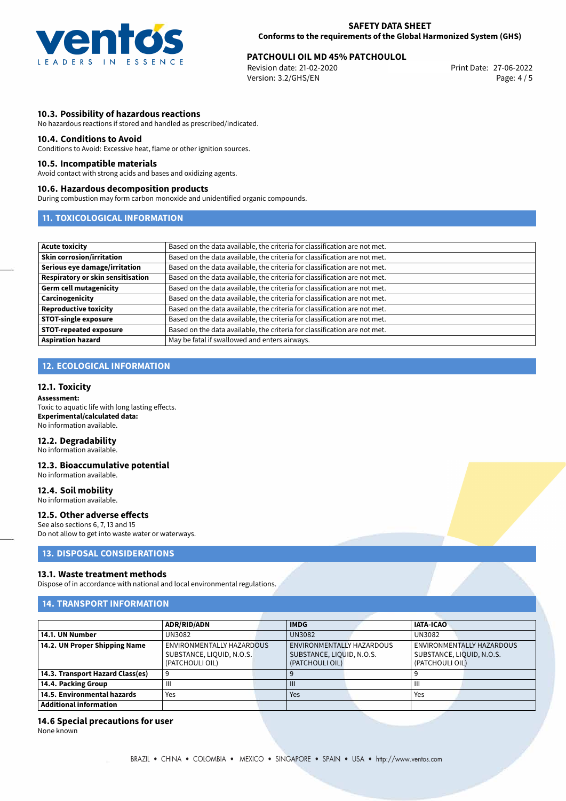

# **PATCHOULI OIL MD 45% PATCHOULOL**<br>Revision date: 21-02-2020<br>Print Date: 27-06-2022

Revision date: 21-02-2020 Version: 3.2/GHS/EN Page: 4 / 5

#### **10.3. Possibility of hazardous reactions**

No hazardous reactions if stored and handled as prescribed/indicated.

#### **10.4. Conditions to Avoid**

Conditions to Avoid: Excessive heat, flame or other ignition sources.

#### **10.5. Incompatible materials**

Avoid contact with strong acids and bases and oxidizing agents.

#### **10.6. Hazardous decomposition products**

During combustion may form carbon monoxide and unidentified organic compounds.

#### **11. TOXICOLOGICAL INFORMATION**

| Acute toxicity                    | Based on the data available, the criteria for classification are not met. |
|-----------------------------------|---------------------------------------------------------------------------|
| <b>Skin corrosion/irritation</b>  | Based on the data available, the criteria for classification are not met. |
| Serious eye damage/irritation     | Based on the data available, the criteria for classification are not met. |
| Respiratory or skin sensitisation | Based on the data available, the criteria for classification are not met. |
| Germ cell mutagenicity            | Based on the data available, the criteria for classification are not met. |
| <b>Carcinogenicity</b>            | Based on the data available, the criteria for classification are not met. |
| Reproductive toxicity             | Based on the data available, the criteria for classification are not met. |
| <b>STOT-single exposure</b>       | Based on the data available, the criteria for classification are not met. |
| <b>STOT-repeated exposure</b>     | Based on the data available, the criteria for classification are not met. |
| <b>Aspiration hazard</b>          | May be fatal if swallowed and enters airways.                             |

### **12. ECOLOGICAL INFORMATION**

#### **12.1. Toxicity**

**Assessment:** Toxic to aquatic life with long lasting effects. **Experimental/calculated data:** No information available.

#### **12.2. Degradability**

No information available.

#### **12.3. Bioaccumulative potential** No information available.

**12.4. Soil mobility**

No information available.

#### **12.5. Other adverse effects**

See also sections 6, 7, 13 and 15 Do not allow to get into waste water or waterways.

### **13. DISPOSAL CONSIDERATIONS**

#### **13.1. Waste treatment methods**

Dispose of in accordance with national and local environmental regulations.

#### **14. TRANSPORT INFORMATION**

|                                  | <b>ADR/RID/ADN</b>        |  | <b>IMDG</b>               |  | <b>IATA-ICAO</b>          |                           |
|----------------------------------|---------------------------|--|---------------------------|--|---------------------------|---------------------------|
| 14.1. UN Number                  | UN3082                    |  | <b>UN3082</b>             |  | <b>UN3082</b>             |                           |
| 14.2. UN Proper Shipping Name    | ENVIRONMENTALLY HAZARDOUS |  | ENVIRONMENTALLY HAZARDOUS |  |                           | ENVIRONMENTALLY HAZARDOUS |
|                                  | SUBSTANCE, LIQUID, N.O.S. |  | SUBSTANCE, LIQUID, N.O.S. |  | SUBSTANCE, LIQUID, N.O.S. |                           |
|                                  | (PATCHOULI OIL)           |  | (PATCHOULI OIL)           |  | (PATCHOULI OIL)           |                           |
| 14.3. Transport Hazard Class(es) | 9                         |  |                           |  |                           |                           |
| 14.4. Packing Group              | $\mathbf{III}$            |  |                           |  | Ш                         |                           |
| 14.5. Environmental hazards      | Yes                       |  | Yes                       |  | Yes                       |                           |
| <b>Additional information</b>    |                           |  |                           |  |                           |                           |

#### **14.6 Special precautions for user**

None known